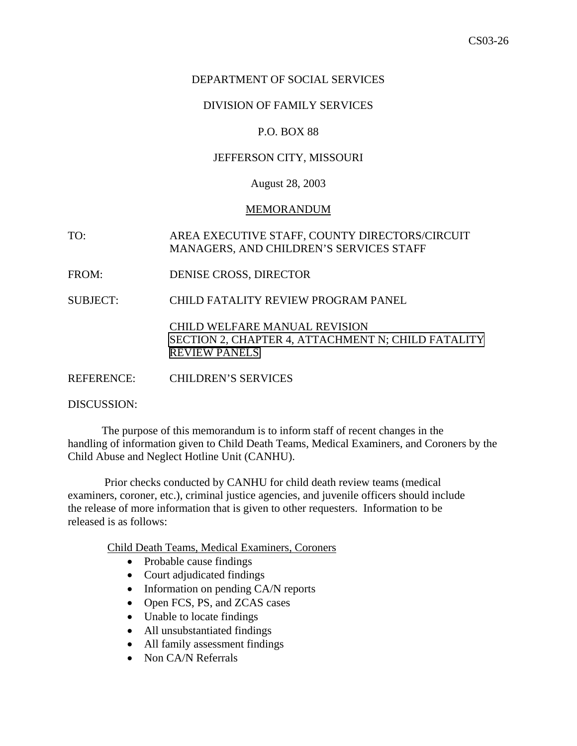# DEPARTMENT OF SOCIAL SERVICES

# DIVISION OF FAMILY SERVICES

### P.O. BOX 88

### JEFFERSON CITY, MISSOURI

### August 28, 2003

#### MEMORANDUM

TO: AREA EXECUTIVE STAFF, COUNTY DIRECTORS/CIRCUIT MANAGERS, AND CHILDREN'S SERVICES STAFF

FROM: DENISE CROSS, DIRECTOR

SUBJECT: CHILD FATALITY REVIEW PROGRAM PANEL

[CHILD WELFARE MANUAL REVISION](http://dss.missouri.gov/cd/info/cwman/sec2/ch4/2_4_n.shtml) [SECTION 2, CHAPTER 4, ATTACHMENT N; CHILD FATALITY](http://dss.missouri.gov/cd/info/cwman/sec2/ch4/2_4_n.shtml) [REVIEW PANELS](http://dss.missouri.gov/cd/info/cwman/sec2/ch4/2_4_n.shtml)

REFERENCE: CHILDREN'S SERVICES

DISCUSSION:

 The purpose of this memorandum is to inform staff of recent changes in the handling of information given to Child Death Teams, Medical Examiners, and Coroners by the Child Abuse and Neglect Hotline Unit (CANHU).

 Prior checks conducted by CANHU for child death review teams (medical examiners, coroner, etc.), criminal justice agencies, and juvenile officers should include the release of more information that is given to other requesters. Information to be released is as follows:

Child Death Teams, Medical Examiners, Coroners

- Probable cause findings
- Court adjudicated findings
- Information on pending CA/N reports
- Open FCS, PS, and ZCAS cases
- Unable to locate findings
- All unsubstantiated findings
- All family assessment findings
- Non CA/N Referrals